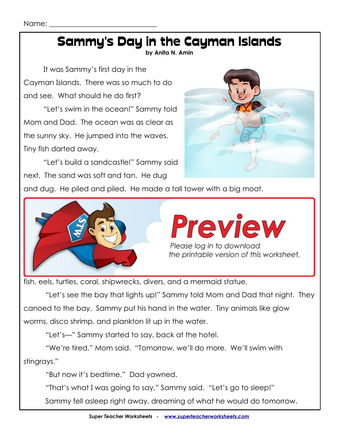## Sammy's Day in the Cayman Islands

**by Anita N. Amin**

It was Sammy's first day in the Cayman Islands. There was so much to do and see. What should he do first?

"Let's swim in the ocean!" Sammy told Mom and Dad. The ocean was as clear as the sunny sky. He jumped into the waves. Tiny fish darted away.

"Let's build a sandcastle!" Sammy said next. The sand was soft and tan. He dug



and dug. He piled and piled. He made a tall tower with a big moat.



fish, eels, turtles, coral, shipwrecks, divers, and a mermaid statue.

 "Let's see the bay that lights up!" Sammy told Mom and Dad that night. They canoed to the bay. Sammy put his hand in the water. Tiny animals like glow worms, disco shrimp, and plankton lit up in the water.

"Let's—" Sammy started to say, back at the hotel.

 "We're tired," Mom said. "Tomorrow, we'll do more. We'll swim with stingrays."

"But now it's bedtime." Dad yawned.

"That's what I was going to say," Sammy said. "Let's go to sleep!"

Sammy fell asleep right away, dreaming of what he would do tomorrow.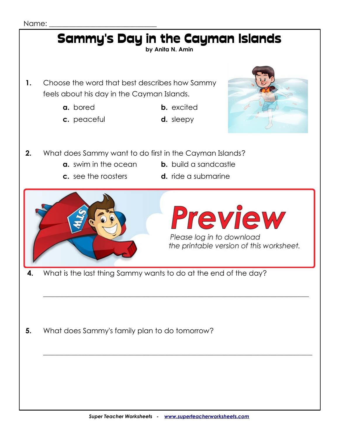## Sammy's Day in the Cayman Islands **by Anita N. Amin 1.** Choose the word that best describes how Sammy feels about his day in the Cayman Islands. **a.** bored **b.** excited **c.** peaceful **d.** sleepy **2.** What does Sammy want to do first in the Cayman Islands? **a.** swim in the ocean **b.** build a sandcastle **c.** see the roosters **d.** ride a submarine **3.** Which animals do Sammy and his family see when they canoe to the bay? **a.** eels and turtles **b.** tiny fish and roosters Please log in to download the printable version of this worksheet.  **4.** What is the last thing Sammy wants to do at the end of the day?

- 
- **5.** What does Sammy's family plan to do tomorrow?

 $\_$  , and the set of the set of the set of the set of the set of the set of the set of the set of the set of the set of the set of the set of the set of the set of the set of the set of the set of the set of the set of th

\_\_\_\_\_\_\_\_\_\_\_\_\_\_\_\_\_\_\_\_\_\_\_\_\_\_\_\_\_\_\_\_\_\_\_\_\_\_\_\_\_\_\_\_\_\_\_\_\_\_\_\_\_\_\_\_\_\_\_\_\_\_\_\_\_\_\_\_\_\_\_\_\_\_\_\_\_\_\_\_\_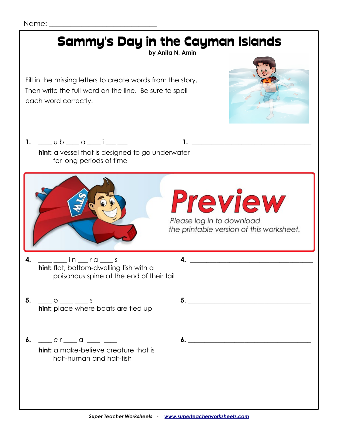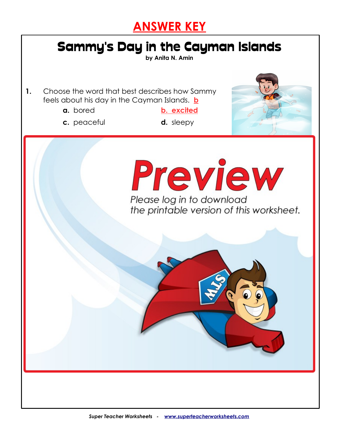



**by Anita N. Amin**

**1.** Choose the word that best describes how Sammy feels about his day in the Cayman Islands. **b**

- 
- **a.** bored **b. excited**
- **c.** peaceful **d.** sleepy
	-